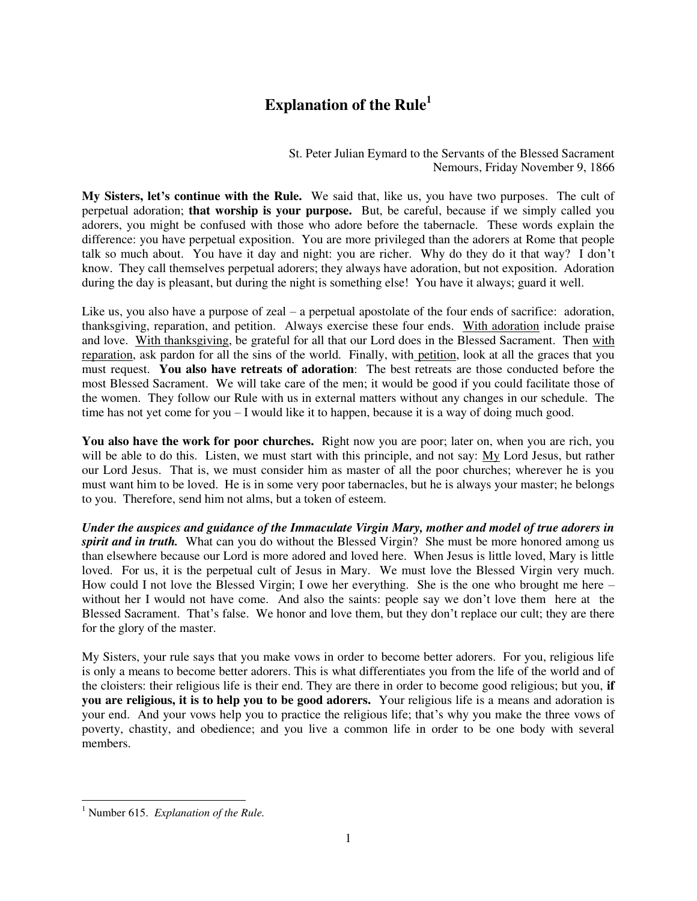## **Explanation of the Rule<sup>1</sup>**

St. Peter Julian Eymard to the Servants of the Blessed Sacrament Nemours, Friday November 9, 1866

**My Sisters, let's continue with the Rule.** We said that, like us, you have two purposes. The cult of perpetual adoration; **that worship is your purpose.** But, be careful, because if we simply called you adorers, you might be confused with those who adore before the tabernacle. These words explain the difference: you have perpetual exposition. You are more privileged than the adorers at Rome that people talk so much about. You have it day and night: you are richer. Why do they do it that way? I don't know. They call themselves perpetual adorers; they always have adoration, but not exposition. Adoration during the day is pleasant, but during the night is something else! You have it always; guard it well.

Like us, you also have a purpose of zeal – a perpetual apostolate of the four ends of sacrifice: adoration, thanksgiving, reparation, and petition. Always exercise these four ends. With adoration include praise and love. With thanksgiving, be grateful for all that our Lord does in the Blessed Sacrament. Then with reparation, ask pardon for all the sins of the world. Finally, with petition, look at all the graces that you must request. **You also have retreats of adoration**: The best retreats are those conducted before the most Blessed Sacrament. We will take care of the men; it would be good if you could facilitate those of the women. They follow our Rule with us in external matters without any changes in our schedule. The time has not yet come for you – I would like it to happen, because it is a way of doing much good.

You also have the work for poor churches. Right now you are poor; later on, when you are rich, you will be able to do this. Listen, we must start with this principle, and not say: My Lord Jesus, but rather our Lord Jesus. That is, we must consider him as master of all the poor churches; wherever he is you must want him to be loved. He is in some very poor tabernacles, but he is always your master; he belongs to you. Therefore, send him not alms, but a token of esteem.

*Under the auspices and guidance of the Immaculate Virgin Mary, mother and model of true adorers in spirit and in truth.*What can you do without the Blessed Virgin? She must be more honored among us than elsewhere because our Lord is more adored and loved here. When Jesus is little loved, Mary is little loved. For us, it is the perpetual cult of Jesus in Mary. We must love the Blessed Virgin very much. How could I not love the Blessed Virgin; I owe her everything. She is the one who brought me here – without her I would not have come. And also the saints: people say we don't love them here at the Blessed Sacrament. That's false. We honor and love them, but they don't replace our cult; they are there for the glory of the master.

My Sisters, your rule says that you make vows in order to become better adorers. For you, religious life is only a means to become better adorers. This is what differentiates you from the life of the world and of the cloisters: their religious life is their end. They are there in order to become good religious; but you, **if you are religious, it is to help you to be good adorers.** Your religious life is a means and adoration is your end. And your vows help you to practice the religious life; that's why you make the three vows of poverty, chastity, and obedience; and you live a common life in order to be one body with several members.

 $\overline{a}$ 1 Number 615. *Explanation of the Rule.*